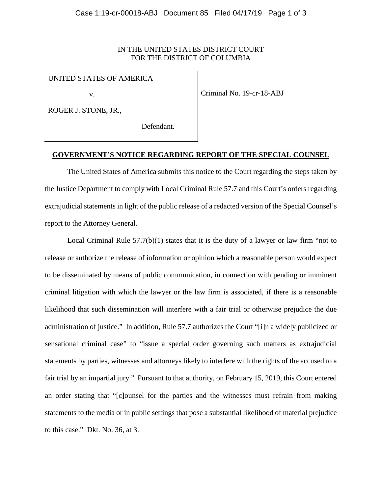## IN THE UNITED STATES DISTRICT COURT FOR THE DISTRICT OF COLUMBIA

## UNITED STATES OF AMERICA

v.

ROGER J. STONE, JR.,

Criminal No. 19-cr-18-ABJ

Defendant.

## **GOVERNMENT'S NOTICE REGARDING REPORT OF THE SPECIAL COUNSEL**

The United States of America submits this notice to the Court regarding the steps taken by the Justice Department to comply with Local Criminal Rule 57.7 and this Court's orders regarding extrajudicial statements in light of the public release of a redacted version of the Special Counsel's report to the Attorney General.

Local Criminal Rule 57.7(b)(1) states that it is the duty of a lawyer or law firm "not to release or authorize the release of information or opinion which a reasonable person would expect to be disseminated by means of public communication, in connection with pending or imminent criminal litigation with which the lawyer or the law firm is associated, if there is a reasonable likelihood that such dissemination will interfere with a fair trial or otherwise prejudice the due administration of justice." In addition, Rule 57.7 authorizes the Court "[i]n a widely publicized or sensational criminal case" to "issue a special order governing such matters as extrajudicial statements by parties, witnesses and attorneys likely to interfere with the rights of the accused to a fair trial by an impartial jury." Pursuant to that authority, on February 15, 2019, this Court entered an order stating that "[c]ounsel for the parties and the witnesses must refrain from making statements to the media or in public settings that pose a substantial likelihood of material prejudice to this case." Dkt. No. 36, at 3.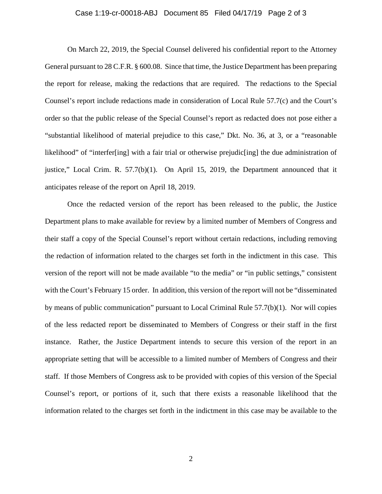## Case 1:19-cr-00018-ABJ Document 85 Filed 04/17/19 Page 2 of 3

On March 22, 2019, the Special Counsel delivered his confidential report to the Attorney General pursuant to 28 C.F.R. § 600.08. Since that time, the Justice Department has been preparing the report for release, making the redactions that are required. The redactions to the Special Counsel's report include redactions made in consideration of Local Rule 57.7(c) and the Court's order so that the public release of the Special Counsel's report as redacted does not pose either a "substantial likelihood of material prejudice to this case," Dkt. No. 36, at 3, or a "reasonable likelihood" of "interfer[ing] with a fair trial or otherwise prejudic[ing] the due administration of justice," Local Crim. R. 57.7(b)(1). On April 15, 2019, the Department announced that it anticipates release of the report on April 18, 2019.

Once the redacted version of the report has been released to the public, the Justice Department plans to make available for review by a limited number of Members of Congress and their staff a copy of the Special Counsel's report without certain redactions, including removing the redaction of information related to the charges set forth in the indictment in this case. This version of the report will not be made available "to the media" or "in public settings," consistent with the Court's February 15 order. In addition, this version of the report will not be "disseminated by means of public communication" pursuant to Local Criminal Rule 57.7(b)(1). Nor will copies of the less redacted report be disseminated to Members of Congress or their staff in the first instance. Rather, the Justice Department intends to secure this version of the report in an appropriate setting that will be accessible to a limited number of Members of Congress and their staff. If those Members of Congress ask to be provided with copies of this version of the Special Counsel's report, or portions of it, such that there exists a reasonable likelihood that the information related to the charges set forth in the indictment in this case may be available to the